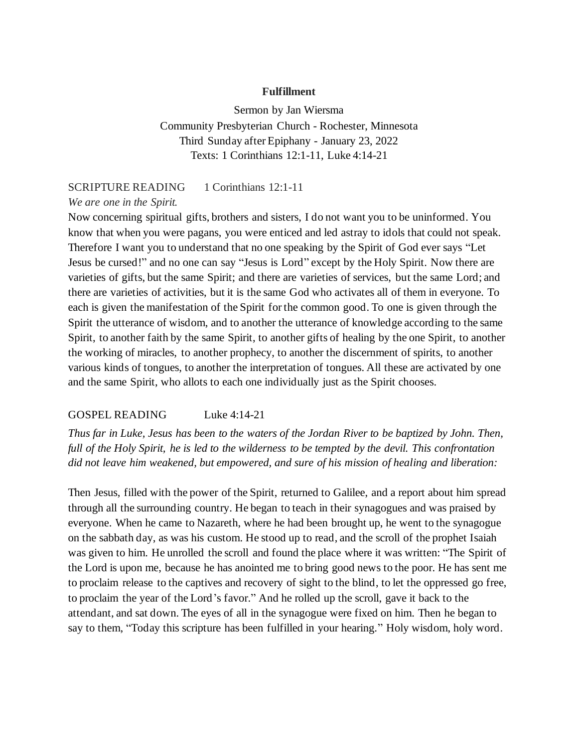#### **Fulfillment**

Sermon by Jan Wiersma Community Presbyterian Church - Rochester, Minnesota Third Sunday after Epiphany - January 23, 2022 Texts: 1 Corinthians 12:1-11, Luke 4:14-21

### SCRIPTURE READING 1 Corinthians 12:1-11

#### *We are one in the Spirit.*

Now concerning spiritual gifts, brothers and sisters, I do not want you to be uninformed. You know that when you were pagans, you were enticed and led astray to idols that could not speak. Therefore I want you to understand that no one speaking by the Spirit of God ever says "Let Jesus be cursed!" and no one can say "Jesus is Lord" except by the Holy Spirit. Now there are varieties of gifts, but the same Spirit; and there are varieties of services, but the same Lord; and there are varieties of activities, but it is the same God who activates all of them in everyone. To each is given the manifestation of the Spirit for the common good. To one is given through the Spirit the utterance of wisdom, and to another the utterance of knowledge according to the same Spirit, to another faith by the same Spirit, to another gifts of healing by the one Spirit, to another the working of miracles, to another prophecy, to another the discernment of spirits, to another various kinds of tongues, to another the interpretation of tongues. All these are activated by one and the same Spirit, who allots to each one individually just as the Spirit chooses.

## GOSPEL READING Luke 4:14-21

*Thus far in Luke, Jesus has been to the waters of the Jordan River to be baptized by John. Then, full of the Holy Spirit, he is led to the wilderness to be tempted by the devil. This confrontation did not leave him weakened, but empowered, and sure of his mission of healing and liberation:*

Then Jesus, filled with the power of the Spirit, returned to Galilee, and a report about him spread through all the surrounding country. He began to teach in their synagogues and was praised by everyone. When he came to Nazareth, where he had been brought up, he went to the synagogue on the sabbath day, as was his custom. He stood up to read, and the scroll of the prophet Isaiah was given to him. He unrolled the scroll and found the place where it was written: "The Spirit of the Lord is upon me, because he has anointed me to bring good news to the poor. He has sent me to proclaim release to the captives and recovery of sight to the blind, to let the oppressed go free, to proclaim the year of the Lord's favor." And he rolled up the scroll, gave it back to the attendant, and sat down. The eyes of all in the synagogue were fixed on him. Then he began to say to them, "Today this scripture has been fulfilled in your hearing." Holy wisdom, holy word.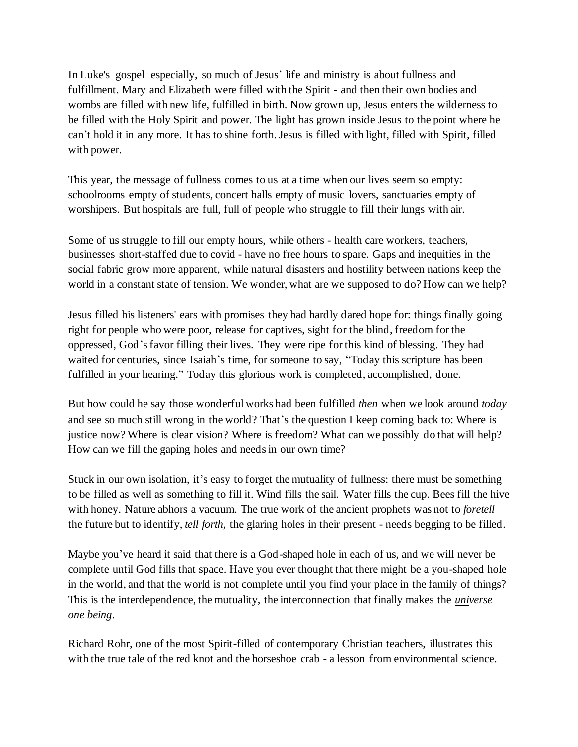In Luke's gospel especially, so much of Jesus' life and ministry is about fullness and fulfillment. Mary and Elizabeth were filled with the Spirit - and then their own bodies and wombs are filled with new life, fulfilled in birth. Now grown up, Jesus enters the wilderness to be filled with the Holy Spirit and power. The light has grown inside Jesus to the point where he can't hold it in any more. It has to shine forth. Jesus is filled with light, filled with Spirit, filled with power.

This year, the message of fullness comes to us at a time when our lives seem so empty: schoolrooms empty of students, concert halls empty of music lovers, sanctuaries empty of worshipers. But hospitals are full, full of people who struggle to fill their lungs with air.

Some of us struggle to fill our empty hours, while others - health care workers, teachers, businesses short-staffed due to covid - have no free hours to spare. Gaps and inequities in the social fabric grow more apparent, while natural disasters and hostility between nations keep the world in a constant state of tension. We wonder, what are we supposed to do? How can we help?

Jesus filled his listeners' ears with promises they had hardly dared hope for: things finally going right for people who were poor, release for captives, sight for the blind, freedom for the oppressed, God's favor filling their lives. They were ripe for this kind of blessing. They had waited for centuries, since Isaiah's time, for someone to say, "Today this scripture has been fulfilled in your hearing." Today this glorious work is completed, accomplished, done.

But how could he say those wonderful works had been fulfilled *then* when we look around *today*  and see so much still wrong in the world? That's the question I keep coming back to: Where is justice now? Where is clear vision? Where is freedom? What can we possibly do that will help? How can we fill the gaping holes and needs in our own time?

Stuck in our own isolation, it's easy to forget the mutuality of fullness: there must be something to be filled as well as something to fill it. Wind fills the sail. Water fills the cup. Bees fill the hive with honey. Nature abhors a vacuum. The true work of the ancient prophets was not to *foretell* the future but to identify, *tell forth,* the glaring holes in their present - needs begging to be filled.

Maybe you've heard it said that there is a God-shaped hole in each of us, and we will never be complete until God fills that space. Have you ever thought that there might be a you-shaped hole in the world, and that the world is not complete until you find your place in the family of things? This is the interdependence, the mutuality, the interconnection that finally makes the *universe one being*.

Richard Rohr, one of the most Spirit-filled of contemporary Christian teachers, illustrates this with the true tale of the red knot and the horseshoe crab - a lesson from environmental science.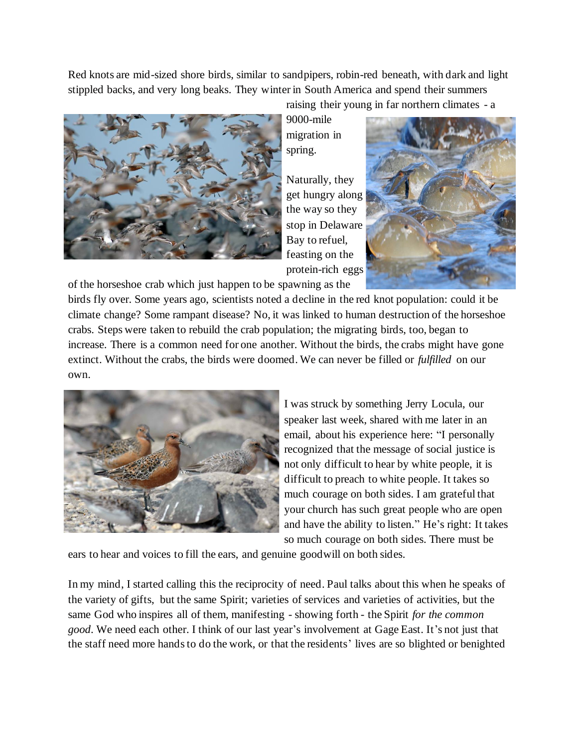Red knots are mid-sized shore birds, similar to sandpipers, robin-red beneath, with dark and light stippled backs, and very long beaks. They winter in South America and spend their summers



of the horseshoe crab which just happen to be spawning as the

raising their young in far northern climates - a 9000-mile migration in spring.

Naturally, they get hungry along the way so they stop in Delaware Bay to refuel, feasting on the protein-rich eggs



birds fly over. Some years ago, scientists noted a decline in the red knot population: could it be climate change? Some rampant disease? No, it was linked to human destruction of the horseshoe crabs. Steps were taken to rebuild the crab population; the migrating birds, too, began to increase. There is a common need for one another. Without the birds, the crabs might have gone extinct. Without the crabs, the birds were doomed. We can never be filled or *fulfilled* on our own.



I was struck by something Jerry Locula, our speaker last week, shared with me later in an email, about his experience here: "I personally recognized that the message of social justice is not only difficult to hear by white people, it is difficult to preach to white people. It takes so much courage on both sides. I am grateful that your church has such great people who are open and have the ability to listen." He's right: It takes so much courage on both sides. There must be

ears to hear and voices to fill the ears, and genuine goodwill on both sides.

In my mind, I started calling this the reciprocity of need. Paul talks about this when he speaks of the variety of gifts, but the same Spirit; varieties of services and varieties of activities, but the same God who inspires all of them, manifesting - showing forth - the Spirit *for the common good*. We need each other. I think of our last year's involvement at Gage East. It's not just that the staff need more hands to do the work, or that the residents' lives are so blighted or benighted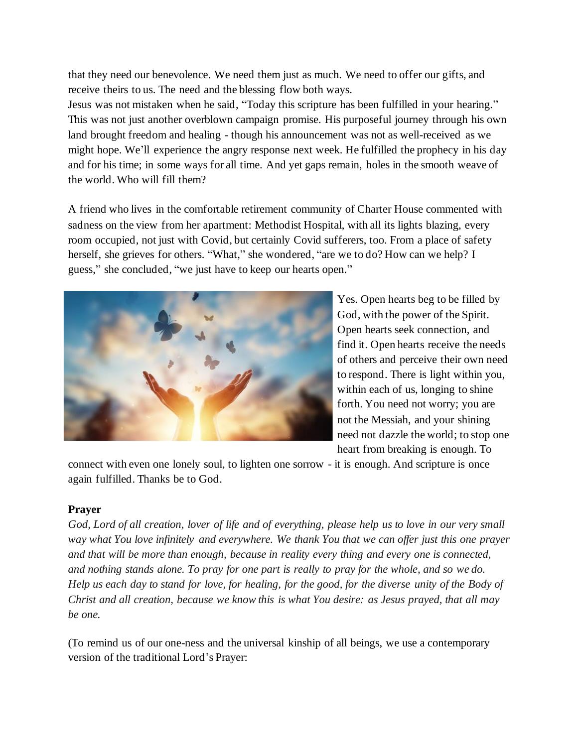that they need our benevolence. We need them just as much. We need to offer our gifts, and receive theirs to us. The need and the blessing flow both ways.

Jesus was not mistaken when he said, "Today this scripture has been fulfilled in your hearing." This was not just another overblown campaign promise. His purposeful journey through his own land brought freedom and healing - though his announcement was not as well-received as we might hope. We'll experience the angry response next week. He fulfilled the prophecy in his day and for his time; in some ways for all time. And yet gaps remain, holes in the smooth weave of the world. Who will fill them?

A friend who lives in the comfortable retirement community of Charter House commented with sadness on the view from her apartment: Methodist Hospital, with all its lights blazing, every room occupied, not just with Covid, but certainly Covid sufferers, too. From a place of safety herself, she grieves for others. "What," she wondered, "are we to do? How can we help? I guess," she concluded, "we just have to keep our hearts open."



Yes. Open hearts beg to be filled by God, with the power of the Spirit. Open hearts seek connection, and find it. Open hearts receive the needs of others and perceive their own need to respond. There is light within you, within each of us, longing to shine forth. You need not worry; you are not the Messiah, and your shining need not dazzle the world; to stop one heart from breaking is enough. To

connect with even one lonely soul, to lighten one sorrow - it is enough. And scripture is once again fulfilled. Thanks be to God.

# **Prayer**

*God, Lord of all creation, lover of life and of everything, please help us to love in our very small way what You love infinitely and everywhere. We thank You that we can offer just this one prayer and that will be more than enough, because in reality every thing and every one is connected, and nothing stands alone. To pray for one part is really to pray for the whole, and so we do. Help us each day to stand for love, for healing, for the good, for the diverse unity of the Body of Christ and all creation, because we know this is what You desire: as Jesus prayed, that all may be one.* 

(To remind us of our one-ness and the universal kinship of all beings, we use a contemporary version of the traditional Lord's Prayer: